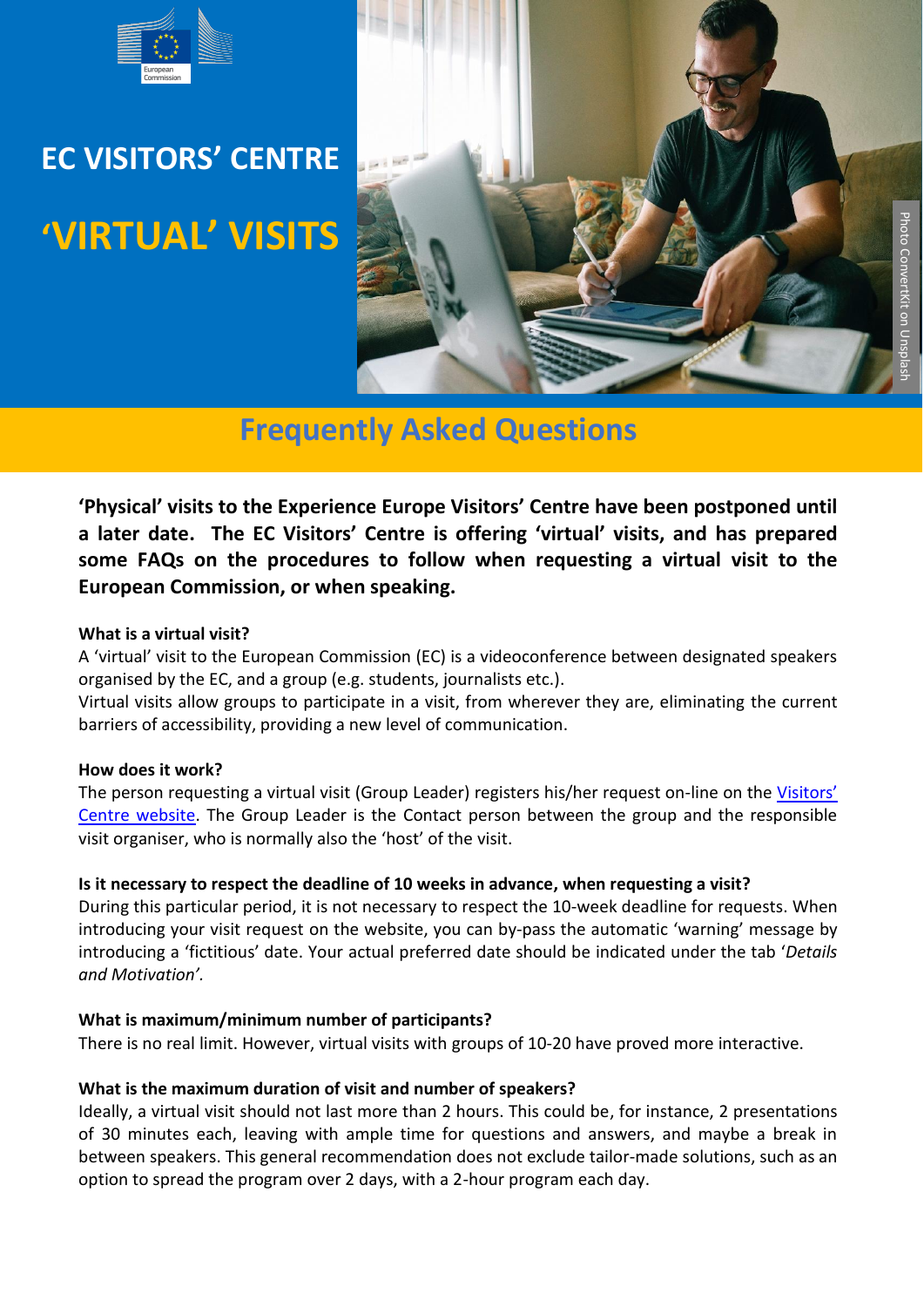

# **EC VISITORS' CENTRE 'VIRTUAL' VISITS**



# **Frequently Asked Questions**

**'Physical' visits to the Experience Europe Visitors' Centre have been postponed until a later date. The EC Visitors' Centre is offering 'virtual' visits, and has prepared some FAQs on the procedures to follow when requesting a virtual visit to the European Commission, or when speaking.**

#### **What is a virtual visit?**

A 'virtual' visit to the European Commission (EC) is a videoconference between designated speakers organised by the EC, and a group (e.g. students, journalists etc.).

Virtual visits allow groups to participate in a visit, from wherever they are, eliminating the current barriers of accessibility, providing a new level of communication.

#### **How does it work?**

The person requesting a virtual visit (Group Leader) registers his/her request on-line on the [Visitors'](https://ec.europa.eu/info/about-european-commission/visit-european-commission/visitors-centre_en#about-the-visitors-centre)  [Centre website.](https://ec.europa.eu/info/about-european-commission/visit-european-commission/visitors-centre_en#about-the-visitors-centre) The Group Leader is the Contact person between the group and the responsible visit organiser, who is normally also the 'host' of the visit.

# **Is it necessary to respect the deadline of 10 weeks in advance, when requesting a visit?**

During this particular period, it is not necessary to respect the 10-week deadline for requests. When introducing your visit request on the website, you can by-pass the automatic 'warning' message by introducing a 'fictitious' date. Your actual preferred date should be indicated under the tab '*Details and Motivation'.* 

#### **What is maximum/minimum number of participants?**

There is no real limit. However, virtual visits with groups of 10-20 have proved more interactive.

# **What is the maximum duration of visit and number of speakers?**

Ideally, a virtual visit should not last more than 2 hours. This could be, for instance, 2 presentations of 30 minutes each, leaving with ample time for questions and answers, and maybe a break in between speakers. This general recommendation does not exclude tailor-made solutions, such as an option to spread the program over 2 days, with a 2-hour program each day.